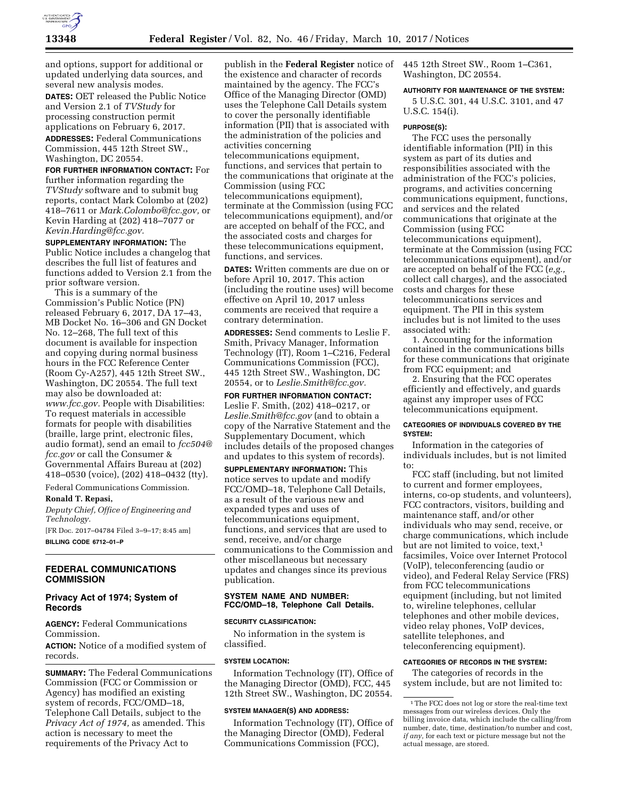

and options, support for additional or updated underlying data sources, and several new analysis modes.

**DATES:** OET released the Public Notice and Version 2.1 of *TVStudy* for processing construction permit applications on February 6, 2017.

**ADDRESSES:** Federal Communications Commission, 445 12th Street SW., Washington, DC 20554.

**FOR FURTHER INFORMATION CONTACT:** For further information regarding the *TVStudy* software and to submit bug reports, contact Mark Colombo at (202) 418–7611 or *[Mark.Colombo@fcc.gov,](mailto:Mark.Colombo@fcc.gov)* or Kevin Harding at (202) 418–7077 or *[Kevin.Harding@fcc.gov.](mailto:Kevin.Harding@fcc.gov)* 

**SUPPLEMENTARY INFORMATION:** The Public Notice includes a changelog that describes the full list of features and functions added to Version 2.1 from the prior software version.

This is a summary of the Commission's Public Notice (PN) released February 6, 2017, DA 17–43, MB Docket No. 16–306 and GN Docket No. 12–268, The full text of this document is available for inspection and copying during normal business hours in the FCC Reference Center (Room Cy-A257), 445 12th Street SW., Washington, DC 20554. The full text may also be downloaded at: *[www.fcc.gov.](http://www.fcc.gov)* People with Disabilities: To request materials in accessible formats for people with disabilities (braille, large print, electronic files, audio format), send an email to *[fcc504@](mailto:fcc504@fcc.gov) [fcc.gov](mailto:fcc504@fcc.gov)* or call the Consumer & Governmental Affairs Bureau at (202) 418–0530 (voice), (202) 418–0432 (tty).

Federal Communications Commission.

## **Ronald T. Repasi,**

*Deputy Chief, Office of Engineering and Technology.* 

[FR Doc. 2017–04784 Filed 3–9–17; 8:45 am] **BILLING CODE 6712–01–P** 

**FEDERAL COMMUNICATIONS COMMISSION** 

# **Privacy Act of 1974; System of Records**

**AGENCY:** Federal Communications Commission.

**ACTION:** Notice of a modified system of records.

**SUMMARY:** The Federal Communications Commission (FCC or Commission or Agency) has modified an existing system of records, FCC/OMD–18, Telephone Call Details, subject to the *Privacy Act of 1974,* as amended. This action is necessary to meet the requirements of the Privacy Act to

publish in the **Federal Register** notice of the existence and character of records maintained by the agency. The FCC's Office of the Managing Director (OMD) uses the Telephone Call Details system to cover the personally identifiable information (PII) that is associated with the administration of the policies and activities concerning telecommunications equipment, functions, and services that pertain to the communications that originate at the Commission (using FCC telecommunications equipment), terminate at the Commission (using FCC telecommunications equipment), and/or are accepted on behalf of the FCC, and the associated costs and charges for these telecommunications equipment, functions, and services.

**DATES:** Written comments are due on or before April 10, 2017. This action (including the routine uses) will become effective on April 10, 2017 unless comments are received that require a contrary determination.

**ADDRESSES:** Send comments to Leslie F. Smith, Privacy Manager, Information Technology (IT), Room 1–C216, Federal Communications Commission (FCC), 445 12th Street SW., Washington, DC 20554, or to *[Leslie.Smith@fcc.gov.](mailto:Leslie.Smith@fcc.gov)* 

**FOR FURTHER INFORMATION CONTACT:**  Leslie F. Smith, (202) 418–0217, or *[Leslie.Smith@fcc.gov](mailto:Leslie.Smith@fcc.gov)* (and to obtain a copy of the Narrative Statement and the Supplementary Document, which includes details of the proposed changes and updates to this system of records).

**SUPPLEMENTARY INFORMATION:** This notice serves to update and modify FCC/OMD–18, Telephone Call Details, as a result of the various new and expanded types and uses of telecommunications equipment, functions, and services that are used to send, receive, and/or charge communications to the Commission and other miscellaneous but necessary updates and changes since its previous publication.

## **SYSTEM NAME AND NUMBER: FCC/OMD–18, Telephone Call Details.**

### **SECURITY CLASSIFICATION:**

No information in the system is classified.

## **SYSTEM LOCATION:**

Information Technology (IT), Office of the Managing Director (OMD), FCC, 445 12th Street SW., Washington, DC 20554.

#### **SYSTEM MANAGER(S) AND ADDRESS:**

Information Technology (IT), Office of the Managing Director (OMD), Federal Communications Commission (FCC),

445 12th Street SW., Room 1–C361, Washington, DC 20554.

#### **AUTHORITY FOR MAINTENANCE OF THE SYSTEM:**

5 U.S.C. 301, 44 U.S.C. 3101, and 47 U.S.C. 154(i).

#### **PURPOSE(S):**

The FCC uses the personally identifiable information (PII) in this system as part of its duties and responsibilities associated with the administration of the FCC's policies, programs, and activities concerning communications equipment, functions, and services and the related communications that originate at the Commission (using FCC telecommunications equipment), terminate at the Commission (using FCC telecommunications equipment), and/or are accepted on behalf of the FCC (*e,g.,*  collect call charges), and the associated costs and charges for these telecommunications services and equipment. The PII in this system includes but is not limited to the uses associated with:

1. Accounting for the information contained in the communications bills for these communications that originate from FCC equipment; and

2. Ensuring that the FCC operates efficiently and effectively, and guards against any improper uses of FCC telecommunications equipment.

# **CATEGORIES OF INDIVIDUALS COVERED BY THE SYSTEM:**

Information in the categories of individuals includes, but is not limited to:

FCC staff (including, but not limited to current and former employees, interns, co-op students, and volunteers), FCC contractors, visitors, building and maintenance staff, and/or other individuals who may send, receive, or charge communications, which include but are not limited to voice, text,<sup>1</sup> facsimiles, Voice over Internet Protocol (VoIP), teleconferencing (audio or video), and Federal Relay Service (FRS) from FCC telecommunications equipment (including, but not limited to, wireline telephones, cellular telephones and other mobile devices, video relay phones, VoIP devices, satellite telephones, and teleconferencing equipment).

# **CATEGORIES OF RECORDS IN THE SYSTEM:**

The categories of records in the system include, but are not limited to:

<sup>&</sup>lt;sup>1</sup>The FCC does not log or store the real-time text messages from our wireless devices. Only the billing invoice data, which include the calling/from number, date, time, destination/to number and cost, *if any,* for each text or picture message but not the actual message, are stored.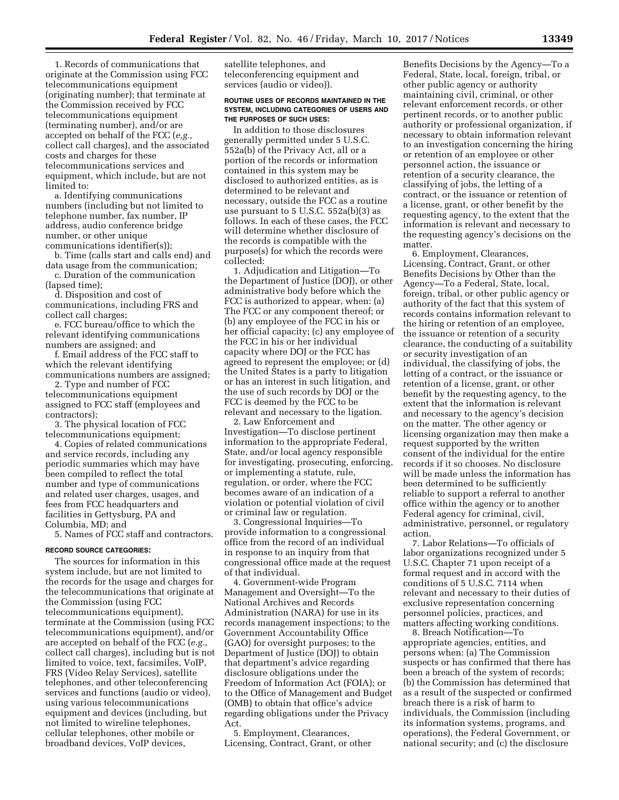1. Records of communications that originate at the Commission using FCC telecommunications equipment (originating number); that terminate at the Commission received by FCC telecommunications equipment (terminating number), and/or are accepted on behalf of the FCC (*e,g.,*  collect call charges), and the associated costs and charges for these telecommunications services and equipment, which include, but are not limited to:

a. Identifying communications numbers (including but not limited to telephone number, fax number, IP address, audio conference bridge number, or other unique communications identifier(s));

b. Time (calls start and calls end) and data usage from the communication;

c. Duration of the communication (lapsed time);

d. Disposition and cost of communications, including FRS and collect call charges;

e. FCC bureau/office to which the relevant identifying communications numbers are assigned; and

f. Email address of the FCC staff to which the relevant identifying communications numbers are assigned;

2. Type and number of FCC telecommunications equipment assigned to FCC staff (employees and contractors);

3. The physical location of FCC telecommunications equipment;

4. Copies of related communications and service records, including any periodic summaries which may have been compiled to reflect the total number and type of communications and related user charges, usages, and fees from FCC headquarters and facilities in Gettysburg, PA and Columbia, MD; and

5. Names of FCC staff and contractors.

## **RECORD SOURCE CATEGORIES:**

The sources for information in this system include, but are not limited to the records for the usage and charges for the telecommunications that originate at the Commission (using FCC telecommunications equipment), terminate at the Commission (using FCC telecommunications equipment), and/or are accepted on behalf of the FCC (*e.g.,*  collect call charges), including but is not limited to voice, text, facsimiles, VoIP, FRS (Video Relay Services), satellite telephones, and other teleconferencing services and functions (audio or video), using various telecommunications equipment and devices (including, but not limited to wireline telephones, cellular telephones, other mobile or broadband devices, VoIP devices,

satellite telephones, and teleconferencing equipment and services (audio or video)).

#### **ROUTINE USES OF RECORDS MAINTAINED IN THE SYSTEM, INCLUDING CATEGORIES OF USERS AND THE PURPOSES OF SUCH USES:**

In addition to those disclosures generally permitted under 5 U.S.C. 552a(b) of the Privacy Act, all or a portion of the records or information contained in this system may be disclosed to authorized entities, as is determined to be relevant and necessary, outside the FCC as a routine use pursuant to 5 U.S.C. 552a(b)(3) as follows. In each of these cases, the FCC will determine whether disclosure of the records is compatible with the purpose(s) for which the records were collected:

1. Adjudication and Litigation—To the Department of Justice (DOJ), or other administrative body before which the FCC is authorized to appear, when: (a) The FCC or any component thereof; or (b) any employee of the FCC in his or her official capacity; (c) any employee of the FCC in his or her individual capacity where DOJ or the FCC has agreed to represent the employee; or (d) the United States is a party to litigation or has an interest in such litigation, and the use of such records by DOJ or the FCC is deemed by the FCC to be relevant and necessary to the ligation.

2. Law Enforcement and Investigation—To disclose pertinent information to the appropriate Federal, State, and/or local agency responsible for investigating, prosecuting, enforcing, or implementing a statute, rule, regulation, or order, where the FCC becomes aware of an indication of a violation or potential violation of civil or criminal law or regulation.

3. Congressional Inquiries—To provide information to a congressional office from the record of an individual in response to an inquiry from that congressional office made at the request of that individual.

4. Government-wide Program Management and Oversight—To the National Archives and Records Administration (NARA) for use in its records management inspections; to the Government Accountability Office (GAO) for oversight purposes; to the Department of Justice (DOJ) to obtain that department's advice regarding disclosure obligations under the Freedom of Information Act (FOIA); or to the Office of Management and Budget (OMB) to obtain that office's advice regarding obligations under the Privacy Act.

5. Employment, Clearances, Licensing, Contract, Grant, or other

Benefits Decisions by the Agency—To a Federal, State, local, foreign, tribal, or other public agency or authority maintaining civil, criminal, or other relevant enforcement records, or other pertinent records, or to another public authority or professional organization, if necessary to obtain information relevant to an investigation concerning the hiring or retention of an employee or other personnel action, the issuance or retention of a security clearance, the classifying of jobs, the letting of a contract, or the issuance or retention of a license, grant, or other benefit by the requesting agency, to the extent that the information is relevant and necessary to the requesting agency's decisions on the matter.

6. Employment, Clearances, Licensing, Contract, Grant, or other Benefits Decisions by Other than the Agency—To a Federal, State, local, foreign, tribal, or other public agency or authority of the fact that this system of records contains information relevant to the hiring or retention of an employee, the issuance or retention of a security clearance, the conducting of a suitability or security investigation of an individual, the classifying of jobs, the letting of a contract, or the issuance or retention of a license, grant, or other benefit by the requesting agency, to the extent that the information is relevant and necessary to the agency's decision on the matter. The other agency or licensing organization may then make a request supported by the written consent of the individual for the entire records if it so chooses. No disclosure will be made unless the information has been determined to be sufficiently reliable to support a referral to another office within the agency or to another Federal agency for criminal, civil, administrative, personnel, or regulatory action.

7. Labor Relations—To officials of labor organizations recognized under 5 U.S.C. Chapter 71 upon receipt of a formal request and in accord with the conditions of 5 U.S.C. 7114 when relevant and necessary to their duties of exclusive representation concerning personnel policies, practices, and matters affecting working conditions.

8. Breach Notification—To appropriate agencies, entities, and persons when: (a) The Commission suspects or has confirmed that there has been a breach of the system of records; (b) the Commission has determined that as a result of the suspected or confirmed breach there is a risk of harm to individuals, the Commission (including its information systems, programs, and operations), the Federal Government, or national security; and (c) the disclosure